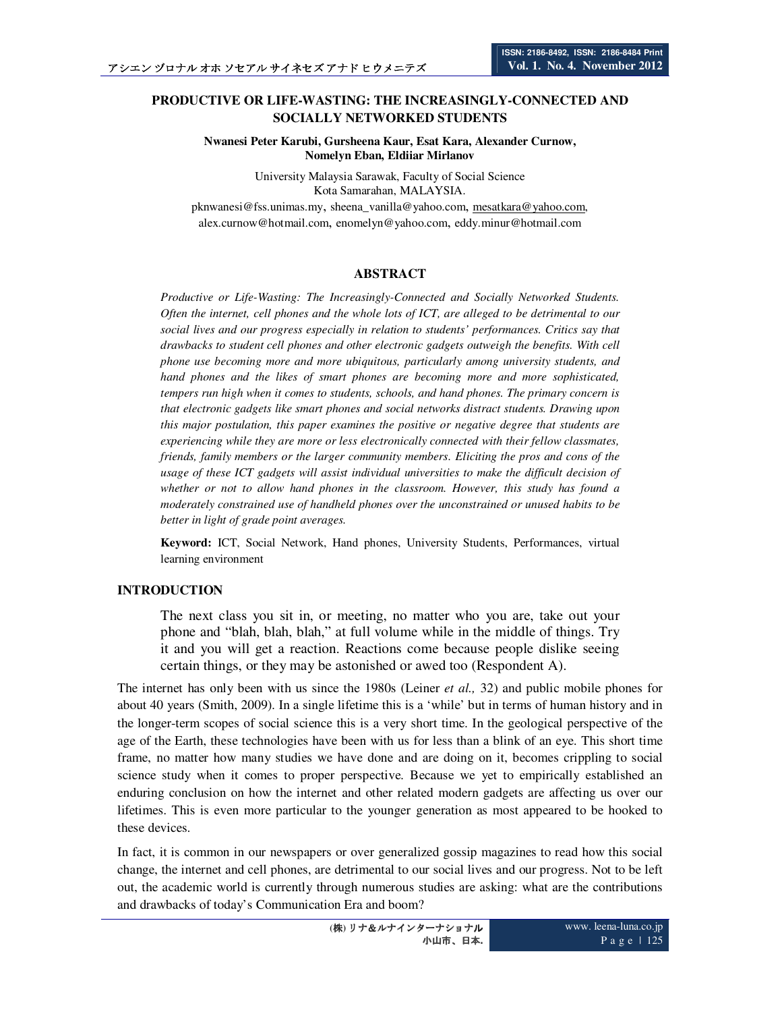## **PRODUCTIVE OR LIFE-WASTING: THE INCREASINGLY-CONNECTED AND SOCIALLY NETWORKED STUDENTS**

**Nwanesi Peter Karubi, Gursheena Kaur, Esat Kara, Alexander Curnow, Nomelyn Eban, Eldiiar Mirlanov** 

> University Malaysia Sarawak, Faculty of Social Science Kota Samarahan, MALAYSIA.

pknwanesi@fss.unimas.my, sheena\_vanilla@yahoo.com, mesatkara@yahoo.com, alex.curnow@hotmail.com, enomelyn@yahoo.com, eddy.minur@hotmail.com

# **ABSTRACT**

*Productive or Life-Wasting: The Increasingly-Connected and Socially Networked Students. Often the internet, cell phones and the whole lots of ICT, are alleged to be detrimental to our social lives and our progress especially in relation to students' performances. Critics say that drawbacks to student cell phones and other electronic gadgets outweigh the benefits. With cell phone use becoming more and more ubiquitous, particularly among university students, and hand phones and the likes of smart phones are becoming more and more sophisticated, tempers run high when it comes to students, schools, and hand phones. The primary concern is that electronic gadgets like smart phones and social networks distract students. Drawing upon this major postulation, this paper examines the positive or negative degree that students are experiencing while they are more or less electronically connected with their fellow classmates, friends, family members or the larger community members. Eliciting the pros and cons of the usage of these ICT gadgets will assist individual universities to make the difficult decision of whether or not to allow hand phones in the classroom. However, this study has found a moderately constrained use of handheld phones over the unconstrained or unused habits to be better in light of grade point averages.* 

**Keyword:** ICT, Social Network, Hand phones, University Students, Performances, virtual learning environment

## **INTRODUCTION**

The next class you sit in, or meeting, no matter who you are, take out your phone and "blah, blah, blah," at full volume while in the middle of things. Try it and you will get a reaction. Reactions come because people dislike seeing certain things, or they may be astonished or awed too (Respondent A).

The internet has only been with us since the 1980s (Leiner *et al.,* 32) and public mobile phones for about 40 years (Smith, 2009). In a single lifetime this is a 'while' but in terms of human history and in the longer-term scopes of social science this is a very short time. In the geological perspective of the age of the Earth, these technologies have been with us for less than a blink of an eye. This short time frame, no matter how many studies we have done and are doing on it, becomes crippling to social science study when it comes to proper perspective. Because we yet to empirically established an enduring conclusion on how the internet and other related modern gadgets are affecting us over our lifetimes. This is even more particular to the younger generation as most appeared to be hooked to these devices.

In fact, it is common in our newspapers or over generalized gossip magazines to read how this social change, the internet and cell phones, are detrimental to our social lives and our progress. Not to be left out, the academic world is currently through numerous studies are asking: what are the contributions and drawbacks of today's Communication Era and boom?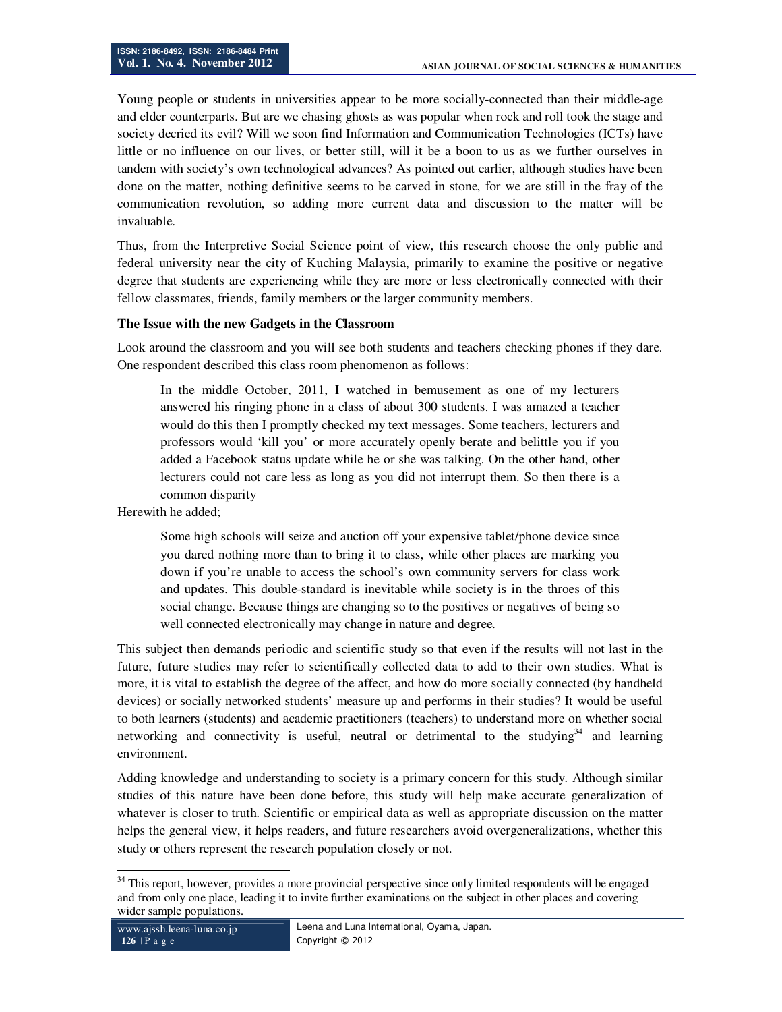Young people or students in universities appear to be more socially-connected than their middle-age and elder counterparts. But are we chasing ghosts as was popular when rock and roll took the stage and society decried its evil? Will we soon find Information and Communication Technologies (ICTs) have little or no influence on our lives, or better still, will it be a boon to us as we further ourselves in tandem with society's own technological advances? As pointed out earlier, although studies have been done on the matter, nothing definitive seems to be carved in stone, for we are still in the fray of the communication revolution, so adding more current data and discussion to the matter will be invaluable.

Thus, from the Interpretive Social Science point of view, this research choose the only public and federal university near the city of Kuching Malaysia, primarily to examine the positive or negative degree that students are experiencing while they are more or less electronically connected with their fellow classmates, friends, family members or the larger community members.

#### **The Issue with the new Gadgets in the Classroom**

Look around the classroom and you will see both students and teachers checking phones if they dare. One respondent described this class room phenomenon as follows:

In the middle October, 2011, I watched in bemusement as one of my lecturers answered his ringing phone in a class of about 300 students. I was amazed a teacher would do this then I promptly checked my text messages. Some teachers, lecturers and professors would 'kill you' or more accurately openly berate and belittle you if you added a Facebook status update while he or she was talking. On the other hand, other lecturers could not care less as long as you did not interrupt them. So then there is a common disparity

Herewith he added;

Some high schools will seize and auction off your expensive tablet/phone device since you dared nothing more than to bring it to class, while other places are marking you down if you're unable to access the school's own community servers for class work and updates. This double-standard is inevitable while society is in the throes of this social change. Because things are changing so to the positives or negatives of being so well connected electronically may change in nature and degree.

This subject then demands periodic and scientific study so that even if the results will not last in the future, future studies may refer to scientifically collected data to add to their own studies. What is more, it is vital to establish the degree of the affect, and how do more socially connected (by handheld devices) or socially networked students' measure up and performs in their studies? It would be useful to both learners (students) and academic practitioners (teachers) to understand more on whether social networking and connectivity is useful, neutral or detrimental to the studying<sup>34</sup> and learning environment.

Adding knowledge and understanding to society is a primary concern for this study. Although similar studies of this nature have been done before, this study will help make accurate generalization of whatever is closer to truth. Scientific or empirical data as well as appropriate discussion on the matter helps the general view, it helps readers, and future researchers avoid overgeneralizations, whether this study or others represent the research population closely or not.

 $\ddot{\phantom{a}}$ 

<sup>&</sup>lt;sup>34</sup> This report, however, provides a more provincial perspective since only limited respondents will be engaged and from only one place, leading it to invite further examinations on the subject in other places and covering wider sample populations.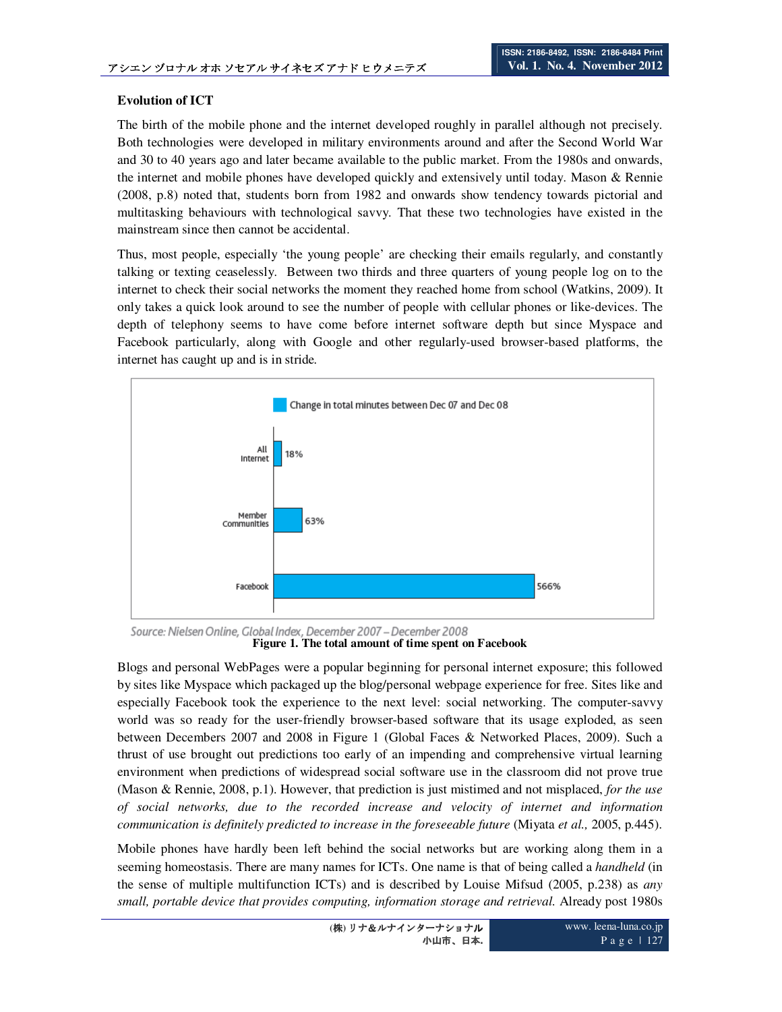# **Evolution of ICT**

The birth of the mobile phone and the internet developed roughly in parallel although not precisely. Both technologies were developed in military environments around and after the Second World War and 30 to 40 years ago and later became available to the public market. From the 1980s and onwards, the internet and mobile phones have developed quickly and extensively until today. Mason & Rennie (2008, p.8) noted that, students born from 1982 and onwards show tendency towards pictorial and multitasking behaviours with technological savvy. That these two technologies have existed in the mainstream since then cannot be accidental.

Thus, most people, especially 'the young people' are checking their emails regularly, and constantly talking or texting ceaselessly. Between two thirds and three quarters of young people log on to the internet to check their social networks the moment they reached home from school (Watkins, 2009). It only takes a quick look around to see the number of people with cellular phones or like-devices. The depth of telephony seems to have come before internet software depth but since Myspace and Facebook particularly, along with Google and other regularly-used browser-based platforms, the internet has caught up and is in stride.



Source: Nielsen Online, Global Index, December 2007 - December 2008 **Figure 1. The total amount of time spent on Facebook** 

Blogs and personal WebPages were a popular beginning for personal internet exposure; this followed by sites like Myspace which packaged up the blog/personal webpage experience for free. Sites like and especially Facebook took the experience to the next level: social networking. The computer-savvy world was so ready for the user-friendly browser-based software that its usage exploded, as seen between Decembers 2007 and 2008 in Figure 1 (Global Faces & Networked Places, 2009). Such a thrust of use brought out predictions too early of an impending and comprehensive virtual learning environment when predictions of widespread social software use in the classroom did not prove true (Mason & Rennie, 2008, p.1). However, that prediction is just mistimed and not misplaced, *for the use of social networks, due to the recorded increase and velocity of internet and information communication is definitely predicted to increase in the foreseeable future* (Miyata *et al.,* 2005, p.445).

Mobile phones have hardly been left behind the social networks but are working along them in a seeming homeostasis. There are many names for ICTs. One name is that of being called a *handheld* (in the sense of multiple multifunction ICTs) and is described by Louise Mifsud (2005, p.238) as *any small, portable device that provides computing, information storage and retrieval.* Already post 1980s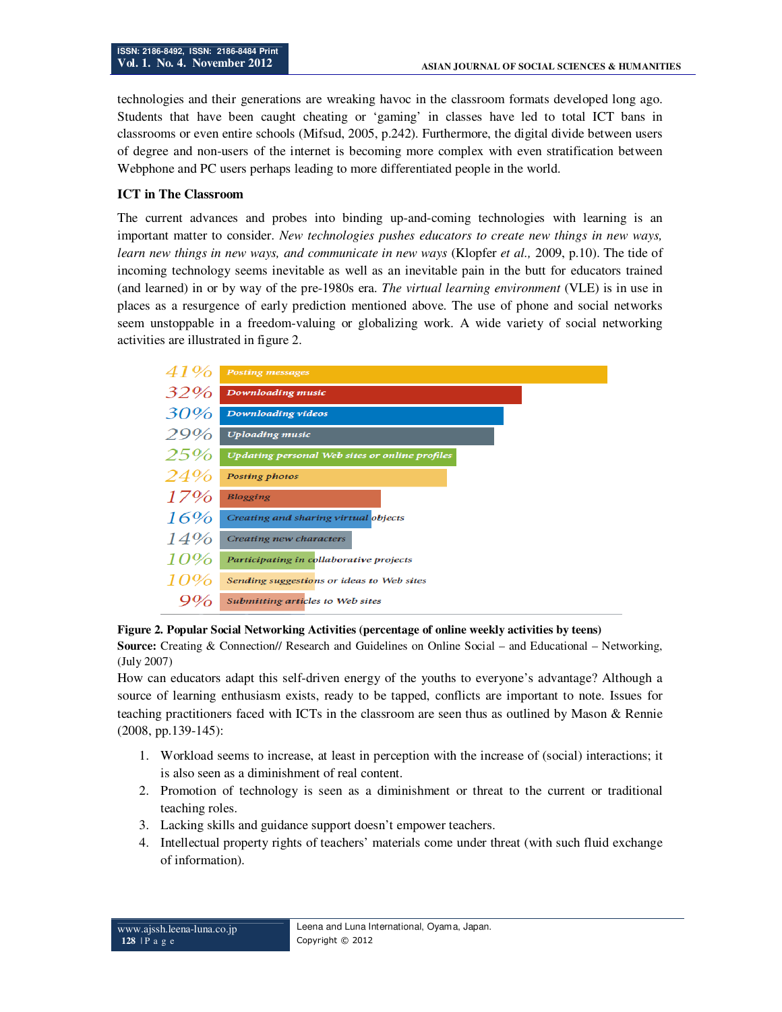technologies and their generations are wreaking havoc in the classroom formats developed long ago. Students that have been caught cheating or 'gaming' in classes have led to total ICT bans in classrooms or even entire schools (Mifsud, 2005, p.242). Furthermore, the digital divide between users of degree and non-users of the internet is becoming more complex with even stratification between Webphone and PC users perhaps leading to more differentiated people in the world.

#### **ICT in The Classroom**

The current advances and probes into binding up-and-coming technologies with learning is an important matter to consider. *New technologies pushes educators to create new things in new ways, learn new things in new ways, and communicate in new ways* (Klopfer *et al.,* 2009, p.10). The tide of incoming technology seems inevitable as well as an inevitable pain in the butt for educators trained (and learned) in or by way of the pre-1980s era. *The virtual learning environment* (VLE) is in use in places as a resurgence of early prediction mentioned above. The use of phone and social networks seem unstoppable in a freedom-valuing or globalizing work. A wide variety of social networking activities are illustrated in figure 2.

| 41%    | <b>Posting messages</b>                        |  |
|--------|------------------------------------------------|--|
| 32%    | Downloading music                              |  |
| 30%    | Downloading videos                             |  |
| 29%    | <b>Uploading music</b>                         |  |
| 25%    | Updating personal Web sites or online profiles |  |
| 24%    | <b>Posting photos</b>                          |  |
| 17%    | <b>Blogging</b>                                |  |
| 16%    | Creating and sharing virtual objects           |  |
| 14%    | <b>Creating new characters</b>                 |  |
| 10%    | Participating in collaborative projects        |  |
| $10\%$ | Sending suggestions or ideas to Web sites      |  |
|        | Submitting articles to Web sites               |  |

#### **Figure 2. Popular Social Networking Activities (percentage of online weekly activities by teens)**

**Source:** Creating & Connection// Research and Guidelines on Online Social – and Educational – Networking, (July 2007)

How can educators adapt this self-driven energy of the youths to everyone's advantage? Although a source of learning enthusiasm exists, ready to be tapped, conflicts are important to note. Issues for teaching practitioners faced with ICTs in the classroom are seen thus as outlined by Mason & Rennie (2008, pp.139-145):

- 1. Workload seems to increase, at least in perception with the increase of (social) interactions; it is also seen as a diminishment of real content.
- 2. Promotion of technology is seen as a diminishment or threat to the current or traditional teaching roles.
- 3. Lacking skills and guidance support doesn't empower teachers.
- 4. Intellectual property rights of teachers' materials come under threat (with such fluid exchange of information).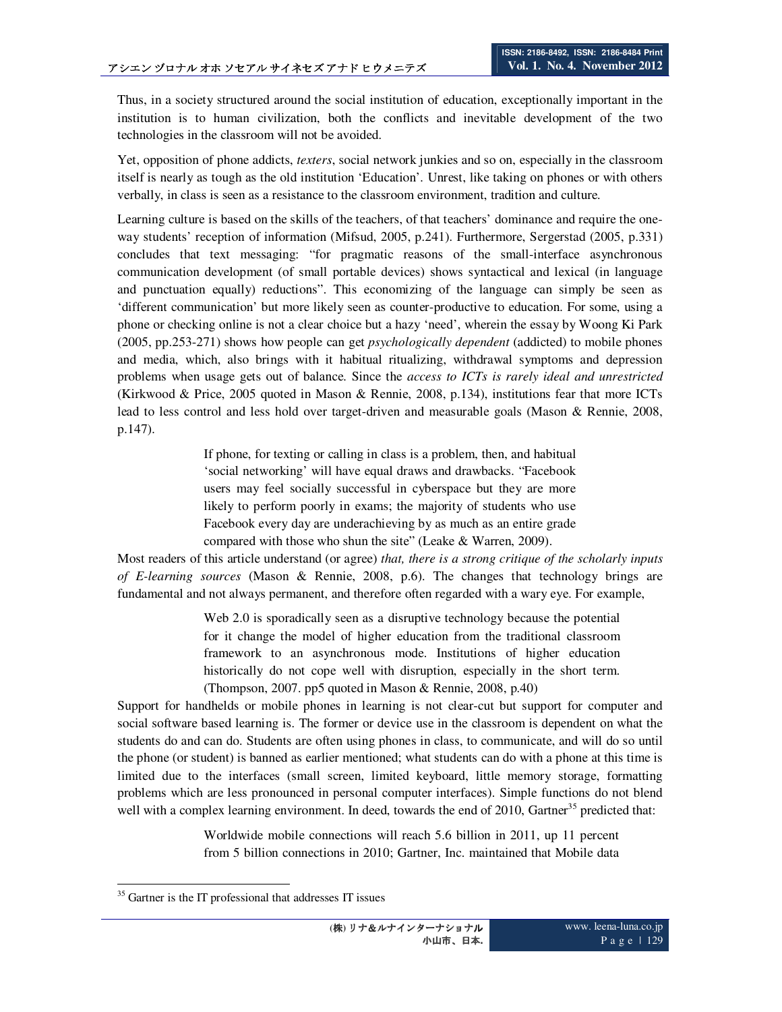Thus, in a society structured around the social institution of education, exceptionally important in the institution is to human civilization, both the conflicts and inevitable development of the two technologies in the classroom will not be avoided.

Yet, opposition of phone addicts, *texters*, social network junkies and so on, especially in the classroom itself is nearly as tough as the old institution 'Education'. Unrest, like taking on phones or with others verbally, in class is seen as a resistance to the classroom environment, tradition and culture.

Learning culture is based on the skills of the teachers, of that teachers' dominance and require the oneway students' reception of information (Mifsud, 2005, p.241). Furthermore, Sergerstad (2005, p.331) concludes that text messaging: "for pragmatic reasons of the small-interface asynchronous communication development (of small portable devices) shows syntactical and lexical (in language and punctuation equally) reductions". This economizing of the language can simply be seen as 'different communication' but more likely seen as counter-productive to education. For some, using a phone or checking online is not a clear choice but a hazy 'need', wherein the essay by Woong Ki Park (2005, pp.253-271) shows how people can get *psychologically dependent* (addicted) to mobile phones and media, which, also brings with it habitual ritualizing, withdrawal symptoms and depression problems when usage gets out of balance. Since the *access to ICTs is rarely ideal and unrestricted* (Kirkwood & Price, 2005 quoted in Mason & Rennie, 2008, p.134), institutions fear that more ICTs lead to less control and less hold over target-driven and measurable goals (Mason & Rennie, 2008, p.147).

> If phone, for texting or calling in class is a problem, then, and habitual 'social networking' will have equal draws and drawbacks. "Facebook users may feel socially successful in cyberspace but they are more likely to perform poorly in exams; the majority of students who use Facebook every day are underachieving by as much as an entire grade compared with those who shun the site" (Leake & Warren, 2009).

Most readers of this article understand (or agree) *that, there is a strong critique of the scholarly inputs of E-learning sources* (Mason & Rennie, 2008, p.6). The changes that technology brings are fundamental and not always permanent, and therefore often regarded with a wary eye. For example,

> Web 2.0 is sporadically seen as a disruptive technology because the potential for it change the model of higher education from the traditional classroom framework to an asynchronous mode. Institutions of higher education historically do not cope well with disruption, especially in the short term. (Thompson, 2007. pp5 quoted in Mason & Rennie, 2008, p.40)

Support for handhelds or mobile phones in learning is not clear-cut but support for computer and social software based learning is. The former or device use in the classroom is dependent on what the students do and can do. Students are often using phones in class, to communicate, and will do so until the phone (or student) is banned as earlier mentioned; what students can do with a phone at this time is limited due to the interfaces (small screen, limited keyboard, little memory storage, formatting problems which are less pronounced in personal computer interfaces). Simple functions do not blend well with a complex learning environment. In deed, towards the end of 2010, Gartner<sup>35</sup> predicted that:

> Worldwide mobile connections will reach 5.6 billion in 2011, up 11 percent from 5 billion connections in 2010; Gartner, Inc. maintained that Mobile data

 $\overline{a}$ <sup>35</sup> Gartner is the IT professional that addresses IT issues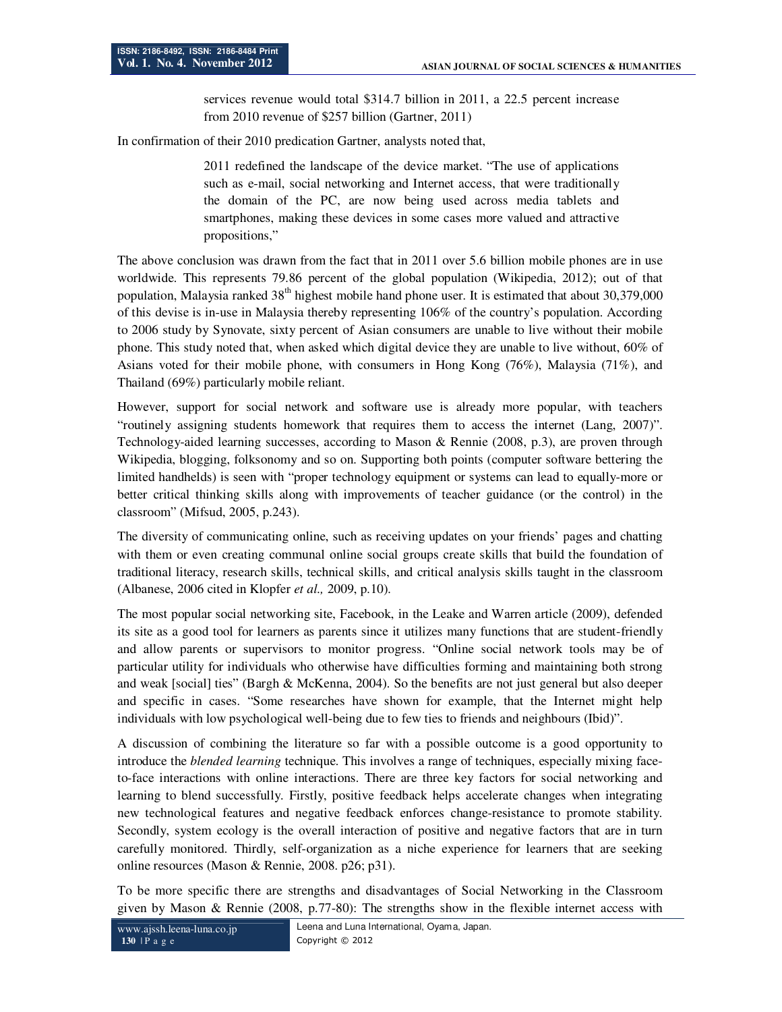services revenue would total \$314.7 billion in 2011, a 22.5 percent increase from 2010 revenue of \$257 billion (Gartner, 2011)

In confirmation of their 2010 predication Gartner, analysts noted that,

2011 redefined the landscape of the device market. "The use of applications such as e-mail, social networking and Internet access, that were traditionally the domain of the PC, are now being used across media tablets and smartphones, making these devices in some cases more valued and attractive propositions,"

The above conclusion was drawn from the fact that in 2011 over 5.6 billion mobile phones are in use worldwide. This represents 79.86 percent of the global population (Wikipedia, 2012); out of that population, Malaysia ranked  $38<sup>th</sup>$  highest mobile hand phone user. It is estimated that about 30,379,000 of this devise is in-use in Malaysia thereby representing 106% of the country's population. According to 2006 study by Synovate, sixty percent of Asian consumers are unable to live without their mobile phone. This study noted that, when asked which digital device they are unable to live without, 60% of Asians voted for their mobile phone, with consumers in Hong Kong (76%), Malaysia (71%), and Thailand (69%) particularly mobile reliant.

However, support for social network and software use is already more popular, with teachers "routinely assigning students homework that requires them to access the internet (Lang, 2007)". Technology-aided learning successes, according to Mason & Rennie (2008, p.3), are proven through Wikipedia, blogging, folksonomy and so on. Supporting both points (computer software bettering the limited handhelds) is seen with "proper technology equipment or systems can lead to equally-more or better critical thinking skills along with improvements of teacher guidance (or the control) in the classroom" (Mifsud, 2005, p.243).

The diversity of communicating online, such as receiving updates on your friends' pages and chatting with them or even creating communal online social groups create skills that build the foundation of traditional literacy, research skills, technical skills, and critical analysis skills taught in the classroom (Albanese, 2006 cited in Klopfer *et al.,* 2009, p.10).

The most popular social networking site, Facebook, in the Leake and Warren article (2009), defended its site as a good tool for learners as parents since it utilizes many functions that are student-friendly and allow parents or supervisors to monitor progress. "Online social network tools may be of particular utility for individuals who otherwise have difficulties forming and maintaining both strong and weak [social] ties" (Bargh & McKenna, 2004). So the benefits are not just general but also deeper and specific in cases. "Some researches have shown for example, that the Internet might help individuals with low psychological well-being due to few ties to friends and neighbours (Ibid)".

A discussion of combining the literature so far with a possible outcome is a good opportunity to introduce the *blended learning* technique. This involves a range of techniques, especially mixing faceto-face interactions with online interactions. There are three key factors for social networking and learning to blend successfully. Firstly, positive feedback helps accelerate changes when integrating new technological features and negative feedback enforces change-resistance to promote stability. Secondly, system ecology is the overall interaction of positive and negative factors that are in turn carefully monitored. Thirdly, self-organization as a niche experience for learners that are seeking online resources (Mason & Rennie, 2008. p26; p31).

To be more specific there are strengths and disadvantages of Social Networking in the Classroom given by Mason & Rennie (2008, p.77-80): The strengths show in the flexible internet access with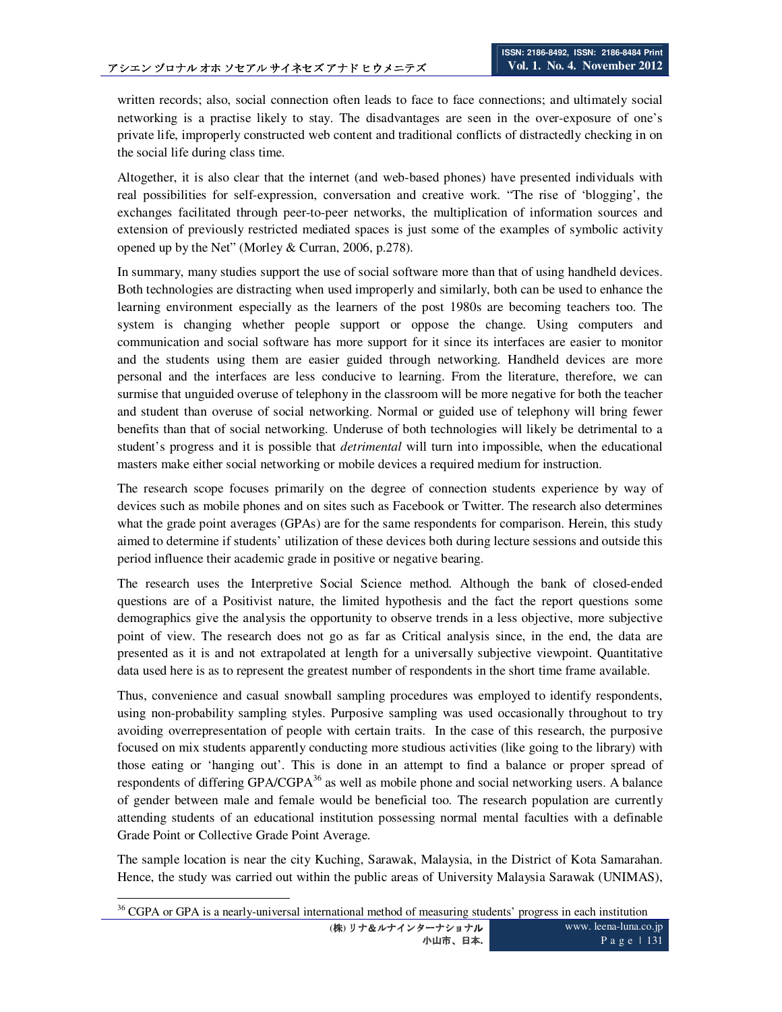written records; also, social connection often leads to face to face connections; and ultimately social networking is a practise likely to stay. The disadvantages are seen in the over-exposure of one's private life, improperly constructed web content and traditional conflicts of distractedly checking in on the social life during class time.

Altogether, it is also clear that the internet (and web-based phones) have presented individuals with real possibilities for self-expression, conversation and creative work. "The rise of 'blogging', the exchanges facilitated through peer-to-peer networks, the multiplication of information sources and extension of previously restricted mediated spaces is just some of the examples of symbolic activity opened up by the Net" (Morley & Curran, 2006, p.278).

In summary, many studies support the use of social software more than that of using handheld devices. Both technologies are distracting when used improperly and similarly, both can be used to enhance the learning environment especially as the learners of the post 1980s are becoming teachers too. The system is changing whether people support or oppose the change. Using computers and communication and social software has more support for it since its interfaces are easier to monitor and the students using them are easier guided through networking. Handheld devices are more personal and the interfaces are less conducive to learning. From the literature, therefore, we can surmise that unguided overuse of telephony in the classroom will be more negative for both the teacher and student than overuse of social networking. Normal or guided use of telephony will bring fewer benefits than that of social networking. Underuse of both technologies will likely be detrimental to a student's progress and it is possible that *detrimental* will turn into impossible, when the educational masters make either social networking or mobile devices a required medium for instruction.

The research scope focuses primarily on the degree of connection students experience by way of devices such as mobile phones and on sites such as Facebook or Twitter. The research also determines what the grade point averages (GPAs) are for the same respondents for comparison. Herein, this study aimed to determine if students' utilization of these devices both during lecture sessions and outside this period influence their academic grade in positive or negative bearing.

The research uses the Interpretive Social Science method. Although the bank of closed-ended questions are of a Positivist nature, the limited hypothesis and the fact the report questions some demographics give the analysis the opportunity to observe trends in a less objective, more subjective point of view. The research does not go as far as Critical analysis since, in the end, the data are presented as it is and not extrapolated at length for a universally subjective viewpoint. Quantitative data used here is as to represent the greatest number of respondents in the short time frame available.

Thus, convenience and casual snowball sampling procedures was employed to identify respondents, using non-probability sampling styles. Purposive sampling was used occasionally throughout to try avoiding overrepresentation of people with certain traits. In the case of this research, the purposive focused on mix students apparently conducting more studious activities (like going to the library) with those eating or 'hanging out'. This is done in an attempt to find a balance or proper spread of respondents of differing  $GPA/CGPA^{36}$  as well as mobile phone and social networking users. A balance of gender between male and female would be beneficial too. The research population are currently attending students of an educational institution possessing normal mental faculties with a definable Grade Point or Collective Grade Point Average.

The sample location is near the city Kuching, Sarawak, Malaysia, in the District of Kota Samarahan. Hence, the study was carried out within the public areas of University Malaysia Sarawak (UNIMAS),

 $\overline{a}$ 

<sup>&</sup>lt;sup>36</sup> CGPA or GPA is a nearly-universal international method of measuring students' progress in each institution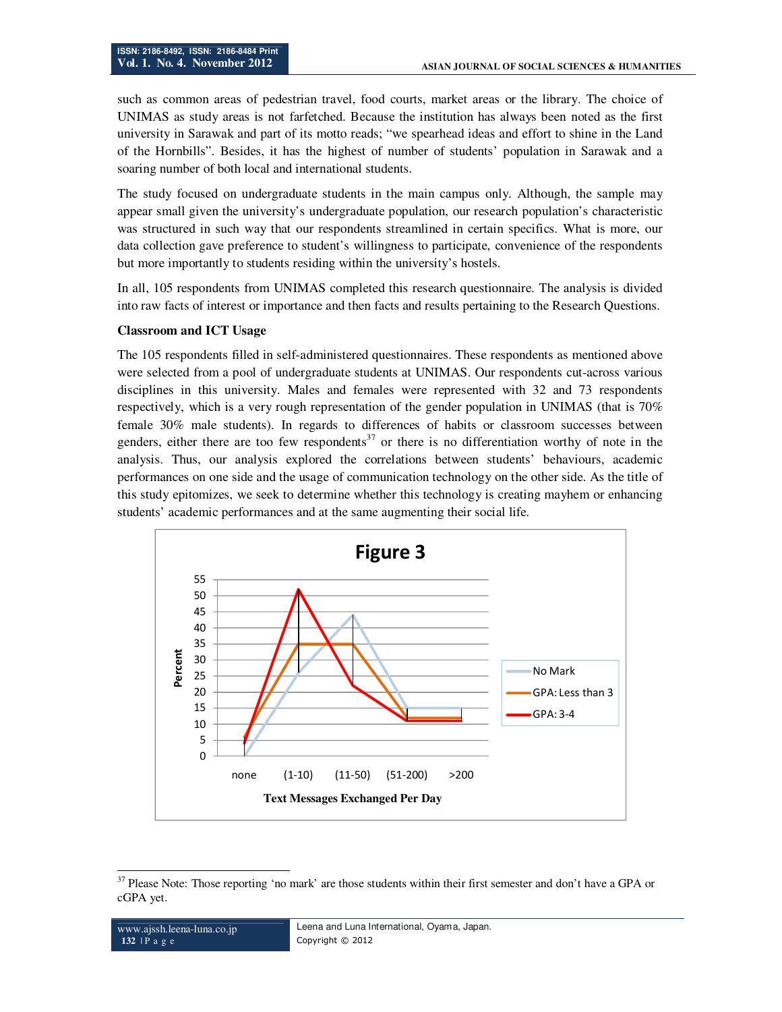such as common areas of pedestrian travel, food courts, market areas or the library. The choice of UNIMAS as study areas is not farfetched. Because the institution has always been noted as the first university in Sarawak and part of its motto reads; "we spearhead ideas and effort to shine in the Land of the Hornbills". Besides, it has the highest of number of students' population in Sarawak and a soaring number of both local and international students.

The study focused on undergraduate students in the main campus only. Although, the sample may appear small given the university's undergraduate population, our research population's characteristic was structured in such way that our respondents streamlined in certain specifics. What is more, our data collection gave preference to student's willingness to participate, convenience of the respondents but more importantly to students residing within the university's hostels.

In all, 105 respondents from UNIMAS completed this research questionnaire. The analysis is divided into raw facts of interest or importance and then facts and results pertaining to the Research Questions.

#### **Classroom and ICT Usage**

The 105 respondents filled in self-administered questionnaires. These respondents as mentioned above were selected from a pool of undergraduate students at UNIMAS. Our respondents cut-across various disciplines in this university. Males and females were represented with 32 and 73 respondents respectively, which is a very rough representation of the gender population in UNIMAS (that is 70% female 30% male students). In regards to differences of habits or classroom successes between genders, either there are too few respondents<sup>37</sup> or there is no differentiation worthy of note in the analysis. Thus, our analysis explored the correlations between students' behaviours, academic performances on one side and the usage of communication technology on the other side. As the title of this study epitomizes, we seek to determine whether this technology is creating mayhem or enhancing students' academic performances and at the same augmenting their social life.



<sup>&</sup>lt;sup>37</sup> Please Note: Those reporting 'no mark' are those students within their first semester and don't have a GPA or cGPA yet.

 $\ddot{\phantom{a}}$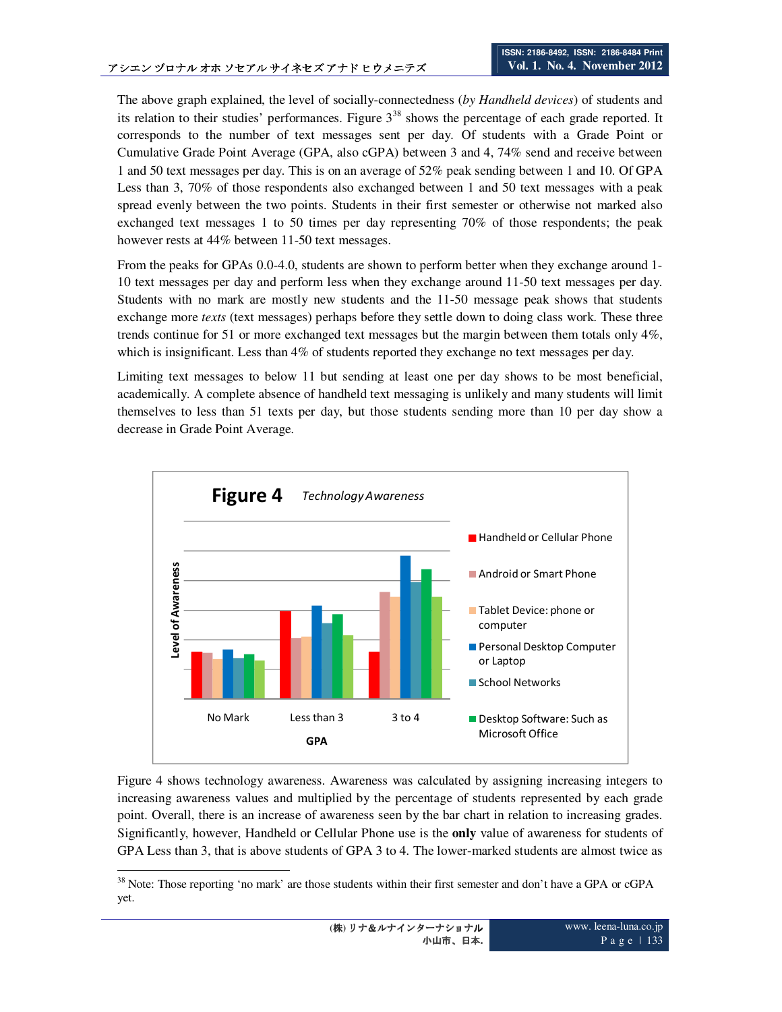The above graph explained, the level of socially-connectedness (*by Handheld devices*) of students and its relation to their studies' performances. Figure  $3^{38}$  shows the percentage of each grade reported. It corresponds to the number of text messages sent per day. Of students with a Grade Point or Cumulative Grade Point Average (GPA, also cGPA) between 3 and 4, 74% send and receive between 1 and 50 text messages per day. This is on an average of 52% peak sending between 1 and 10. Of GPA Less than 3, 70% of those respondents also exchanged between 1 and 50 text messages with a peak spread evenly between the two points. Students in their first semester or otherwise not marked also exchanged text messages 1 to 50 times per day representing 70% of those respondents; the peak however rests at 44% between 11-50 text messages.

From the peaks for GPAs 0.0-4.0, students are shown to perform better when they exchange around 1-10 text messages per day and perform less when they exchange around 11-50 text messages per day. Students with no mark are mostly new students and the 11-50 message peak shows that students exchange more *texts* (text messages) perhaps before they settle down to doing class work. These three trends continue for 51 or more exchanged text messages but the margin between them totals only 4%, which is insignificant. Less than 4% of students reported they exchange no text messages per day.

Limiting text messages to below 11 but sending at least one per day shows to be most beneficial, academically. A complete absence of handheld text messaging is unlikely and many students will limit themselves to less than 51 texts per day, but those students sending more than 10 per day show a decrease in Grade Point Average.



Figure 4 shows technology awareness. Awareness was calculated by assigning increasing integers to increasing awareness values and multiplied by the percentage of students represented by each grade point. Overall, there is an increase of awareness seen by the bar chart in relation to increasing grades. Significantly, however, Handheld or Cellular Phone use is the **only** value of awareness for students of GPA Less than 3, that is above students of GPA 3 to 4. The lower-marked students are almost twice as

 $\overline{a}$ 

<sup>&</sup>lt;sup>38</sup> Note: Those reporting 'no mark' are those students within their first semester and don't have a GPA or cGPA yet.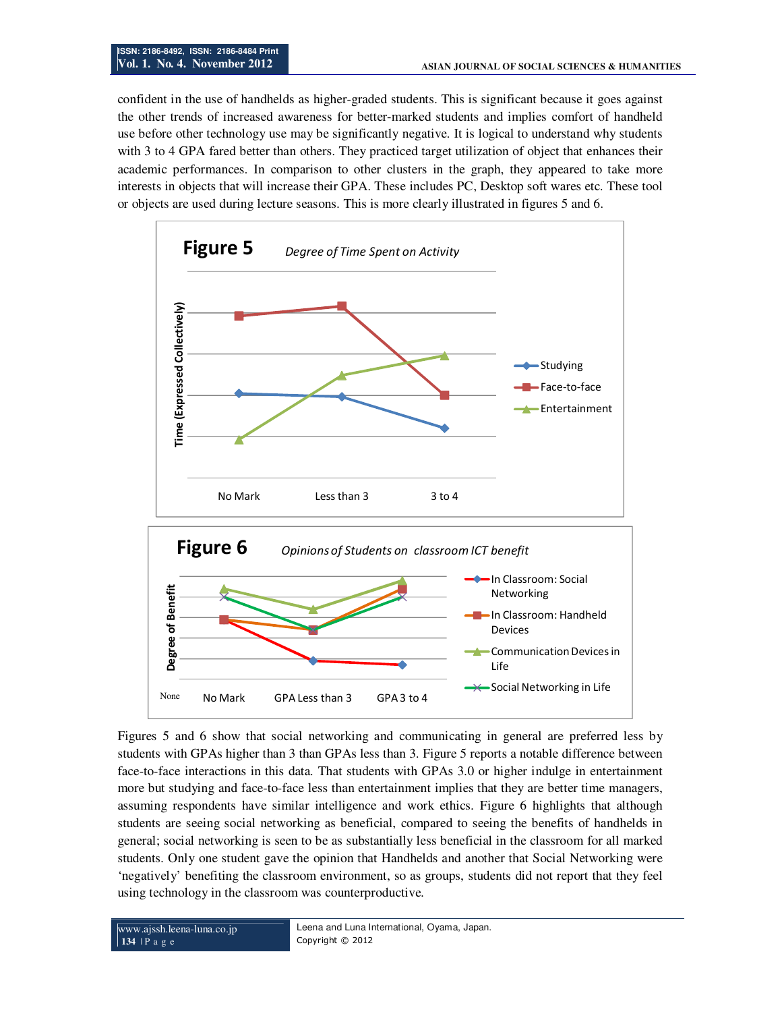confident in the use of handhelds as higher-graded students. This is significant because it goes against the other trends of increased awareness for better-marked students and implies comfort of handheld use before other technology use may be significantly negative. It is logical to understand why students with 3 to 4 GPA fared better than others. They practiced target utilization of object that enhances their academic performances. In comparison to other clusters in the graph, they appeared to take more interests in objects that will increase their GPA. These includes PC, Desktop soft wares etc. These tool or objects are used during lecture seasons. This is more clearly illustrated in figures 5 and 6.



Figures 5 and 6 show that social networking and communicating in general are preferred less by students with GPAs higher than 3 than GPAs less than 3. Figure 5 reports a notable difference between face-to-face interactions in this data. That students with GPAs 3.0 or higher indulge in entertainment more but studying and face-to-face less than entertainment implies that they are better time managers, assuming respondents have similar intelligence and work ethics. Figure 6 highlights that although students are seeing social networking as beneficial, compared to seeing the benefits of handhelds in general; social networking is seen to be as substantially less beneficial in the classroom for all marked students. Only one student gave the opinion that Handhelds and another that Social Networking were 'negatively' benefiting the classroom environment, so as groups, students did not report that they feel using technology in the classroom was counterproductive.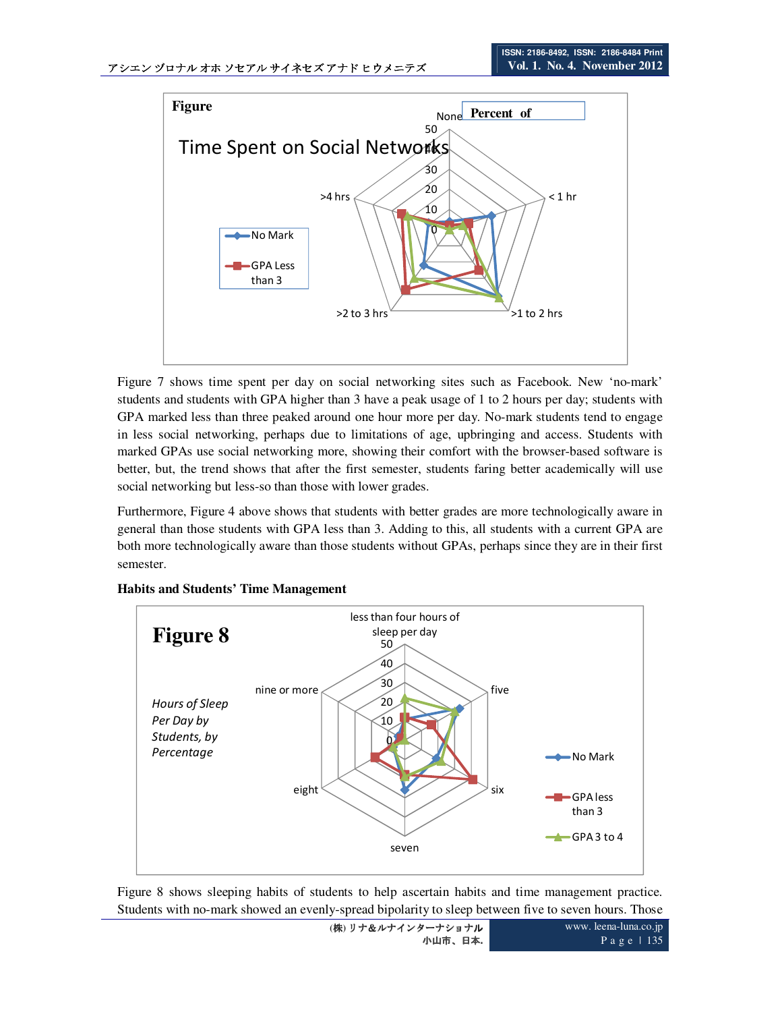

Figure 7 shows time spent per day on social networking sites such as Facebook. New 'no-mark' students and students with GPA higher than 3 have a peak usage of 1 to 2 hours per day; students with GPA marked less than three peaked around one hour more per day. No-mark students tend to engage in less social networking, perhaps due to limitations of age, upbringing and access. Students with marked GPAs use social networking more, showing their comfort with the browser-based software is better, but, the trend shows that after the first semester, students faring better academically will use social networking but less-so than those with lower grades.

Furthermore, Figure 4 above shows that students with better grades are more technologically aware in general than those students with GPA less than 3. Adding to this, all students with a current GPA are both more technologically aware than those students without GPAs, perhaps since they are in their first semester.



## **Habits and Students' Time Management**

Figure 8 shows sleeping habits of students to help ascertain habits and time management practice. Students with no-mark showed an evenly-spread bipolarity to sleep between five to seven hours. Those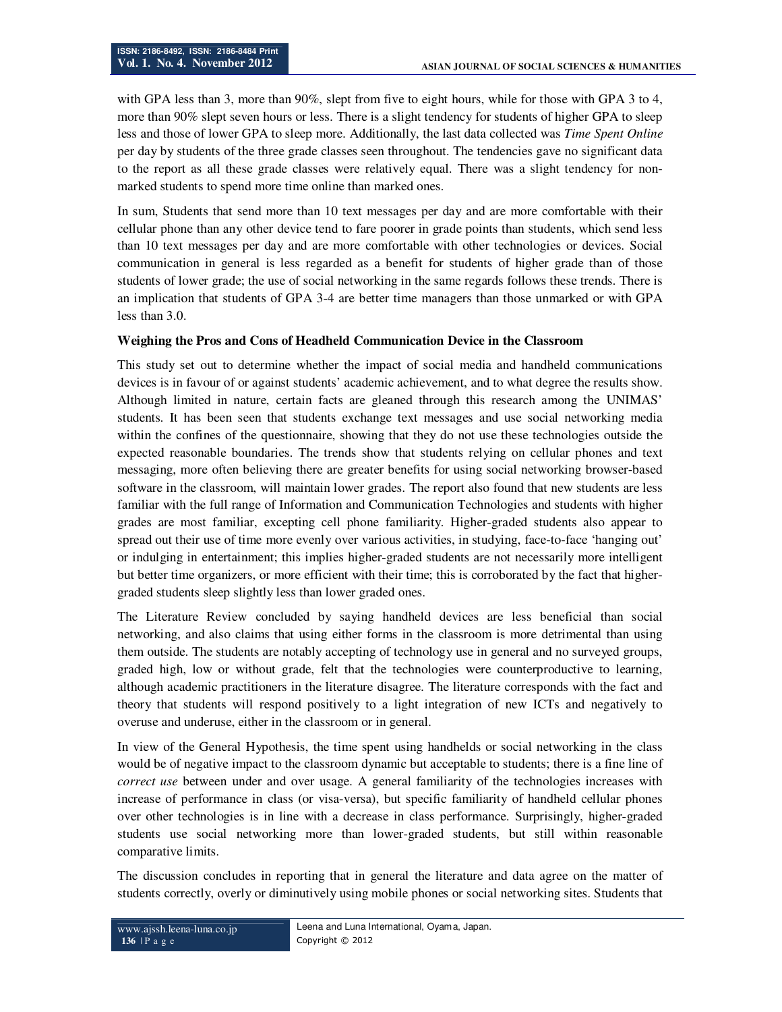with GPA less than 3, more than 90%, slept from five to eight hours, while for those with GPA 3 to 4, more than 90% slept seven hours or less. There is a slight tendency for students of higher GPA to sleep less and those of lower GPA to sleep more. Additionally, the last data collected was *Time Spent Online* per day by students of the three grade classes seen throughout. The tendencies gave no significant data to the report as all these grade classes were relatively equal. There was a slight tendency for nonmarked students to spend more time online than marked ones.

In sum, Students that send more than 10 text messages per day and are more comfortable with their cellular phone than any other device tend to fare poorer in grade points than students, which send less than 10 text messages per day and are more comfortable with other technologies or devices. Social communication in general is less regarded as a benefit for students of higher grade than of those students of lower grade; the use of social networking in the same regards follows these trends. There is an implication that students of GPA 3-4 are better time managers than those unmarked or with GPA less than 3.0.

## **Weighing the Pros and Cons of Headheld Communication Device in the Classroom**

This study set out to determine whether the impact of social media and handheld communications devices is in favour of or against students' academic achievement, and to what degree the results show. Although limited in nature, certain facts are gleaned through this research among the UNIMAS' students. It has been seen that students exchange text messages and use social networking media within the confines of the questionnaire, showing that they do not use these technologies outside the expected reasonable boundaries. The trends show that students relying on cellular phones and text messaging, more often believing there are greater benefits for using social networking browser-based software in the classroom, will maintain lower grades. The report also found that new students are less familiar with the full range of Information and Communication Technologies and students with higher grades are most familiar, excepting cell phone familiarity. Higher-graded students also appear to spread out their use of time more evenly over various activities, in studying, face-to-face 'hanging out' or indulging in entertainment; this implies higher-graded students are not necessarily more intelligent but better time organizers, or more efficient with their time; this is corroborated by the fact that highergraded students sleep slightly less than lower graded ones.

The Literature Review concluded by saying handheld devices are less beneficial than social networking, and also claims that using either forms in the classroom is more detrimental than using them outside. The students are notably accepting of technology use in general and no surveyed groups, graded high, low or without grade, felt that the technologies were counterproductive to learning, although academic practitioners in the literature disagree. The literature corresponds with the fact and theory that students will respond positively to a light integration of new ICTs and negatively to overuse and underuse, either in the classroom or in general.

In view of the General Hypothesis, the time spent using handhelds or social networking in the class would be of negative impact to the classroom dynamic but acceptable to students; there is a fine line of *correct use* between under and over usage. A general familiarity of the technologies increases with increase of performance in class (or visa-versa), but specific familiarity of handheld cellular phones over other technologies is in line with a decrease in class performance. Surprisingly, higher-graded students use social networking more than lower-graded students, but still within reasonable comparative limits.

The discussion concludes in reporting that in general the literature and data agree on the matter of students correctly, overly or diminutively using mobile phones or social networking sites. Students that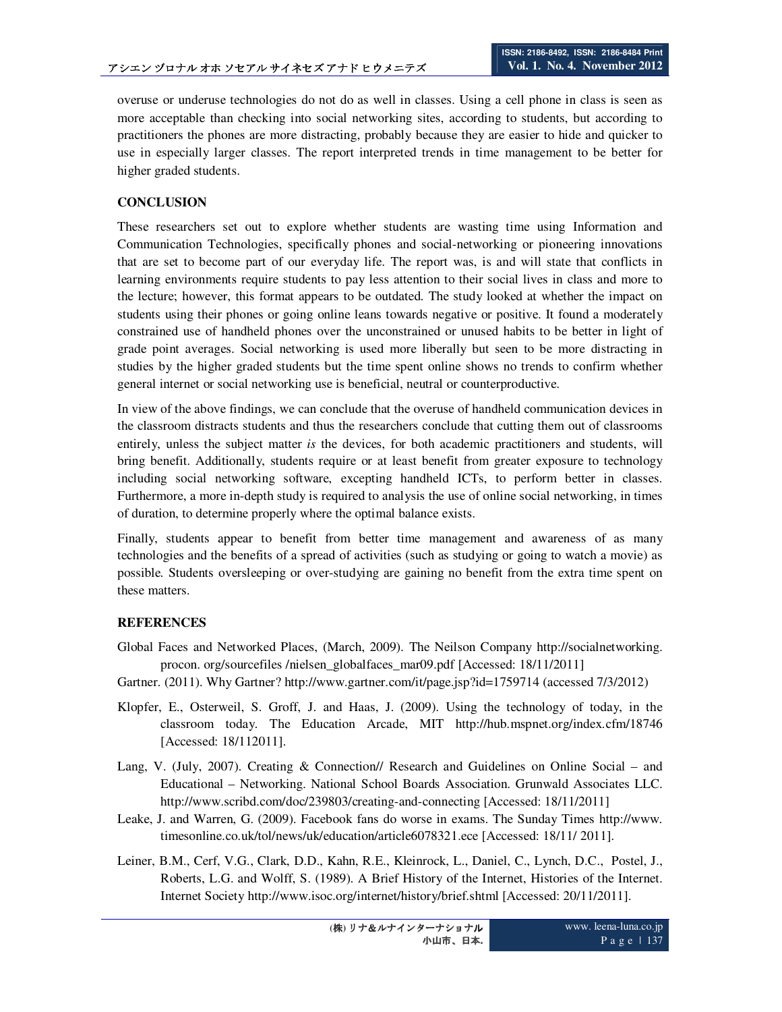overuse or underuse technologies do not do as well in classes. Using a cell phone in class is seen as more acceptable than checking into social networking sites, according to students, but according to practitioners the phones are more distracting, probably because they are easier to hide and quicker to use in especially larger classes. The report interpreted trends in time management to be better for higher graded students.

# **CONCLUSION**

These researchers set out to explore whether students are wasting time using Information and Communication Technologies, specifically phones and social-networking or pioneering innovations that are set to become part of our everyday life. The report was, is and will state that conflicts in learning environments require students to pay less attention to their social lives in class and more to the lecture; however, this format appears to be outdated. The study looked at whether the impact on students using their phones or going online leans towards negative or positive. It found a moderately constrained use of handheld phones over the unconstrained or unused habits to be better in light of grade point averages. Social networking is used more liberally but seen to be more distracting in studies by the higher graded students but the time spent online shows no trends to confirm whether general internet or social networking use is beneficial, neutral or counterproductive.

In view of the above findings, we can conclude that the overuse of handheld communication devices in the classroom distracts students and thus the researchers conclude that cutting them out of classrooms entirely, unless the subject matter *is* the devices, for both academic practitioners and students, will bring benefit. Additionally, students require or at least benefit from greater exposure to technology including social networking software, excepting handheld ICTs, to perform better in classes. Furthermore, a more in-depth study is required to analysis the use of online social networking, in times of duration, to determine properly where the optimal balance exists.

Finally, students appear to benefit from better time management and awareness of as many technologies and the benefits of a spread of activities (such as studying or going to watch a movie) as possible. Students oversleeping or over-studying are gaining no benefit from the extra time spent on these matters.

# **REFERENCES**

- Global Faces and Networked Places, (March, 2009). The Neilson Company http://socialnetworking. procon. org/sourcefiles /nielsen\_globalfaces\_mar09.pdf [Accessed: 18/11/2011]
- Gartner. (2011). Why Gartner? http://www.gartner.com/it/page.jsp?id=1759714 (accessed 7/3/2012)
- Klopfer, E., Osterweil, S. Groff, J. and Haas, J. (2009). Using the technology of today, in the classroom today. The Education Arcade, MIT http://hub.mspnet.org/index.cfm/18746 [Accessed: 18/112011].
- Lang, V. (July, 2007). Creating & Connection// Research and Guidelines on Online Social and Educational – Networking. National School Boards Association. Grunwald Associates LLC. http://www.scribd.com/doc/239803/creating-and-connecting [Accessed: 18/11/2011]
- Leake, J. and Warren, G. (2009). Facebook fans do worse in exams. The Sunday Times http://www. timesonline.co.uk/tol/news/uk/education/article6078321.ece [Accessed: 18/11/ 2011].
- Leiner, B.M., Cerf, V.G., Clark, D.D., Kahn, R.E., Kleinrock, L., Daniel, C., Lynch, D.C., Postel, J., Roberts, L.G. and Wolff, S. (1989). A Brief History of the Internet, Histories of the Internet. Internet Society http://www.isoc.org/internet/history/brief.shtml [Accessed: 20/11/2011].